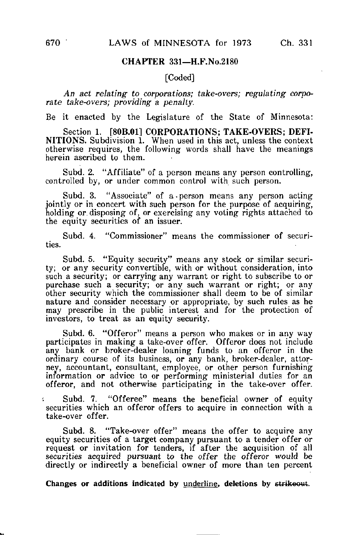## CHAPTER 331—H.F.No.2180

## [Coded]

An act relating to corporations; take-overs; regulating corporate take-overs; providing a penalty.

Be it enacted by the Legislature of the State of Minnesota:

Section 1. [80B.01] CORPORATIONS; TAKE-OVERS; DEFI-**NITIONS.** Subdivision  $\overline{1}$ . When used in this act, unless the context otherwise requires, the following words shall have the meanings herein ascribed to them.

Subd. 2. "Affiliate" of a person means any person controlling, controlled by, or under common control with such person.

Subd. 3. "Associate" of a person means any person acting jointly or in concert with such person for the purpose of acquiring, holding or disposing of, or exercising any voting rights attached to the equity securities of an issuer.

Subd. 4. "Commissioner" means the commissioner of securities.

Subd. 5. "Equity security" means any stock or similar security; or any security convertible, with or without consideration, into such a security; or carrying any warrant or right to subscribe to or purchase such a security; or any such warrant or right; or any other security which the commissioner shall deem to be of similar nature and consider necessary or appropriate, by such rules as he may prescribe in the public interest and for the protection of investors, to treat as an equity security.

Subd. 6. "Offeror" means a person who makes or in any way participates in making a take-over offer. Offerer does not include any bank or broker-dealer loaning funds to an offerer in the ordinary course of its business, or any bank, broker-dealer, attorney, accountant, consultant, employee, or other person furnishing information or advice to or performing ministerial duties for an offerer, and not otherwise participating in the take-over offer.

Subd. 7. "Offeree" means the beneficial owner of equity securities which an offeror offers to acquire in connection with a take-over offer.

Subd. 8. "Take-over offer" means the offer to acquire any equity securities of a target company pursuant to a tender offer or request or invitation for tenders, if after the acquisition of all securities acquired pursuant to the offer the offeror would be directly or indirectly a beneficial owner of more than ten percent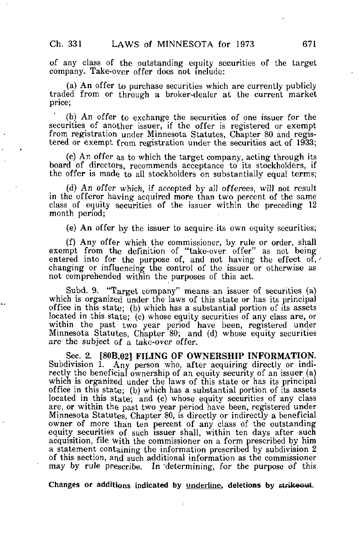of any class of the outstanding equity securities of the target company. Take-over offer does not include:

(a) An offer to purchase securities which are currently publicly traded from or through a broker-dealer at the current market price;

(b) An offer to exchange the securities of one issuer for the securities of another issuer, if the offer is registered or exempt from registration under Minnesota Statutes, Chapter 80 and registered or exempt from registration under the securities act of 1933;

(c) An offer as to which the target company, acting through its board of directors, recommends acceptance to its stockholders, if the offer is made to all stockholders on substantially equal terms;

(d) An offer which, if accepted by all offerees, will not result in the offeror having acquired more than two percent of the same class of equity securities of the issuer within the preceding 12 month period;

(e) An offer by the issuer to acquire its own equity securities;

(f) Any offer which the commissioner, by rule or order, shall exempt from the definition of "take-over offer" as not being entered into for the purpose of, and not having the effect of, changing or influencing the control of the issuer or otherwise as not comprehended within the purposes of this act.

Subd. 9. "Target company" means an issuer of securities (a) which is organized under the laws of this state or has its principal office in this state; (b) which has a substantial portion of its assets located in this state; (c) whose equity securities of any class are, or within the past two year period have been, registered under Minnesota Statutes, Chapter 80; and (d) whose equity securities are the subject of a take-over offer.

Sec. 2. [80B.02] FILING OF OWNERSHIP INFORMATION. Subdivision 1. Any person who, after acquiring directly or indirectly the beneficial ownership of an equity security of an issuer (a) which is organized under the laws of this state or has its principal office in this state; (b) which has a substantial portion of its assets located in this state; and (c) whose equity securities of any class are, or within the past two year period have been, registered under Minnesota Statutes, Chapter 80, is directly or indirectly a beneficial owner of more than ten percent of any class of the outstanding equity securities of such issuer shall, within ten days after such acquisition, file with the commissioner on a form prescribed by him a statement containing the information prescribed by subdivision 2 of this section, and such additional information as the commissioner may by rule prescribe. In "determining, for the purpose of this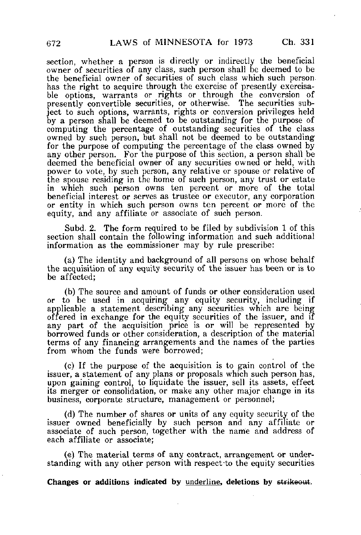section, whether a person is directly or indirectly the beneficial owner of securities of any class, such person shall be deemed to be the beneficial owner of securities of such class which such person has the right to acquire through the exercise of presently exercisable options, warrants or rights or through the conversion of presently convertible securities, or otherwise. The securities subject to such options, warrants, rights or conversion privileges held by a person shall be deemed to be outstanding for the purpose of computing the percentage of outstanding securities of the class owned by such person, but shall not be deemed to be outstanding for the purpose of computing the percentage of the class owned by any other person. For the purpose of this section, a person shall be deemed the beneficial owner of any securities owned or held, with power to vote, by such person, any relative or spouse or relative of the spouse residing in the home of such person, any trust or estate in which such person owns ten percent or more of the total beneficial interest or serves as trustee or executor, any corporation or entity in which such person owns ten percent or more of the equity, and any affiliate or associate of such person.

Subd. 2. The form required to be filed by subdivision 1 of this section shall contain the following information and such additional information as the commissioner may by rule prescribe:

(a) The identity and background of all persons on whose behalf the acquisition of any equity security of the issuer has been or is to be affected;

(b) The source and amount of funds or other consideration used or to be used in acquiring any equity security, including if applicable a statement describing any securities which are being offered in exchange for the equity securities of the issuer, and if any part of the acquisition price is or will be represented by borrowed funds or other consideration, a description of the material terms of any financing arrangements and the names of the parties from whom the funds were borrowed;

(c) If the purpose of the acquisition is to gain control of the issuer, a statement of any plans or proposals which such person has, upon gaining control, to liquidate the issuer, sell its assets, effect its merger or consolidation, or make any other major change in its business, corporate structure, management or personnel;

(d) The number of shares or units of any equity security of the issuer owned beneficially by such person and any affiliate or associate of such person, together with the name and address of each affiliate or associate;

(e) The material terms of any contract, arrangement or understanding with any other person with respect-to the equity securities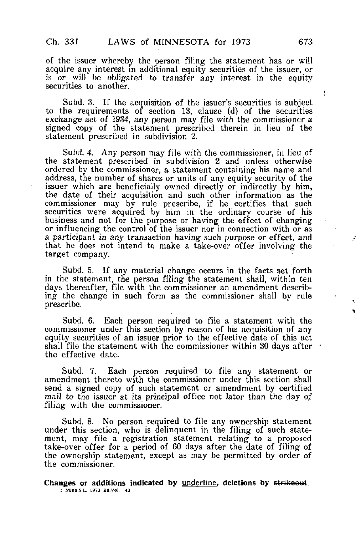of the issuer whereby the person filing the statement has or will acquire any interest in additional equity securities of the issuer, or is or will be obligated to transfer any interest in the equity securities to another.

Subd. 3. If the acquisition of the issuer's securities is subject to the requirements of section 13, clause (d) of the securities exchange act of 1934, any person may file with the commissioner a signed copy of the statement prescribed therein in lieu of the statement prescribed in subdivision 2.

Subd. 4. Any person may file with the commissioner, in lieu of the statement prescribed in subdivision 2 and unless otherwise ordered by the commissioner, a statement containing his name and address, the number of shares or units of any equity security of the issuer which are beneficially owned directly or indirectly by him, the date of their acquisition and such other information as the commissioner may by rule prescribe, if he certifies that such securities were acquired by him in the ordinary course of his business and not for the purpose or having the effect of changing or influencing the control of the issuer nor in connection with or as a participant in any transaction having such purpose or effect, and that he does not intend to make a take-over offer involving the target company.

Subd. 5. If any material change occurs in the facts set forth in the statement, the person filing the statement shall, within ten days thereafter, file with the commissioner an amendment describing the change in such form as the commissioner shall by rule prescribe,

Subd. 6. Each person required to file a statement with the commissioner under this section by reason of his acquisition of any equity securities of an issuer prior to the effective date of this act shall file the statement with the commissioner within 30 days after  $\cdot$ the effective date.

Subd. 7. Each person required to file any statement or amendment thereto with the commissioner under this section shall send a signed copy of such statement or amendment by certified mail to the issuer at its principal office not later than the day of filing with the commissioner.

Subd. 8. No person required to file any ownership statement under this section, who is delinquent in the filing of such statement, may file a registration statement relating to a proposed take-over offer for a period of 60 days after the date of filing of the ownership statement, except as may be permitted by order of the commissioner.

Changes or additions indicated by underline, deletions by strikeout. 1 Minn.S.L. 1973 Bd.Vol,—43

ŧ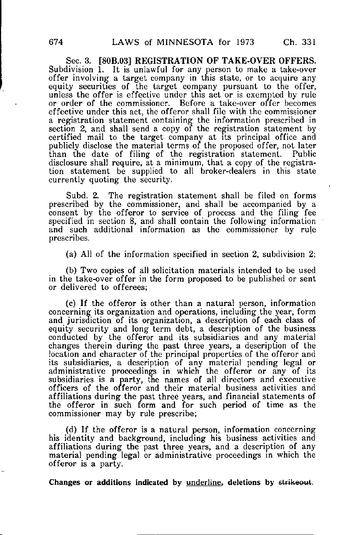Sec. 3. [80B.03] REGISTRATION OF TAKE-OVER OFFERS. Subdivision 1. It is unlawful for any person to make a take-over offer involving a target company in this state, or to acquire any equity securities of the target company pursuant to the offer, unless the offer is effective under this act or is exempted by rule or order of the commissioner. Before a take-over offer becomes effective under this act, the offerer shall file with the commissioner a registration statement containing the information prescribed in section 2, and shall send a copy of the registration statement by certified mail to the target company at its principal office and publicly disclose the material terms of the proposed offer, not later<br>than the date of filing of the registration statement. Public than the date of filing of the registration statement. disclosure shall require, at a minimum, that a copy of the registration statement be supplied to all broker-dealers in this state currently quoting the security.

Subd. 2. The registration statement shall be filed on forms prescribed by the commissioner, and shall be accompanied by a consent by the offeror to service of process and the filing fee specified in section 8, and shall contain the following information and such additional information as the commissioner by rule prescribes.

(a) All of the information specified in section 2, subdivision 2;

(b) Two copies of all solicitation materials intended to be used in the take-over offer in the form proposed to be published or sent or delivered to offerees;

(c) If the offeror is other than a natural person, information concerning its organization and operations, including the year, form and jurisdiction of its organization, a description of each class of equity security and long term debt, a description of the business conducted by the offeror and its subsidiaries and any material changes therein during the past three years, a description of the location and character of the principal properties of the offeror and its subsidiaries, a description of any material pending legal or administrative proceedings in which the offeror or any of its subsidiaries is a party, the names of all directors and executive officers of the offeror and their material business activities and affiliations during the past three years, and financial statements of the offeror in such form and for such period of time as the commissioner may by rule prescribe;

(d) If the offeror is a natural person, information concerning his identity and background, including his business activities and affiliations during the past three years, and a description of any material pending legal or administrative proceedings in which the offeror is a party.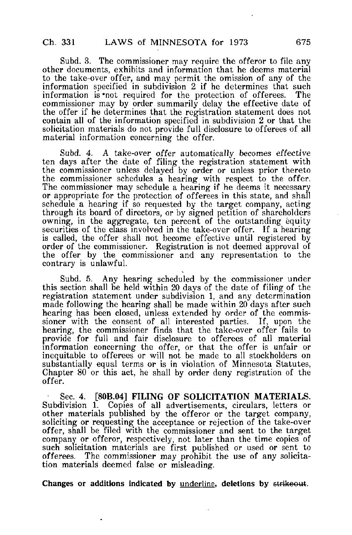Subd. 3. The commissioner may require the offeror to file any other documents, exhibits and information that he deems material to the take-over offer, and may permit the omission of any of the information specified in subdivision 2 if he determines that such information is not required for the protection of offerees. commissioner may by order summarily delay the effective date of the offer if he determines that the registration statement does not contain all of the information specified in subdivision 2 or that the solicitation materials do not provide full disclosure to offerees of all material information concerning the offer.

Subd. 4. A take-over offer automatically becomes effective ten days after the date of filing the registration statement with the commissioner unless delayed by order or unless prior thereto the commissioner schedules a hearing with respect to the offer. The commissioner may schedule a hearing if he deems it necessary or appropriate for the protection of offerees in this state, and shall schedule a hearing if so requested by the target company, acting through its board of directors, or by signed petition of shareholders owning, in the aggregate, ten percent of the outstanding equity securities of the class involved in the take-over offer. If a hearing is called, the offer shall not become effective until registered by order of the commissioner. Registration is not deemed approval of the offer by the commissioner and any representation to the contrary is unlawful.

Subd. 5. Any hearing scheduled by the commissioner under this section shall be held within 20 days of the date of filing of the registration statement under subdivision 1, and any determination made following the hearing shall be made within 20 days after such hearing has been closed, unless extended by order of the commissioner with the consent of all interested parties. If, upon the hearing, the commissioner finds that the take-over offer fails to provide for full and fair disclosure to offerees of all material information concerning the offer, or that the offer is unfair or inequitable to offerees or will not be made to all stockholders on substantially equal terms or is in violation of Minnesota Statutes, Chapter 80 or this act, he shall by order deny registration of the offer.

Sec. 4. [80B.04] FILING OF SOLICITATION MATERIALS. Subdivision 1. Copies of all advertisements, circulars, letters or other materials published by the offerer or the target company, soliciting or requesting the acceptance or rejection of the take-over offer, shall be filed with the commissioner and sent to the target company or offeror, respectively, not later than the time copies of such solicitation materials are first published or used or sent to offerees. The commissioner may prohibit the use of any solicitation materials deemed false or misleading.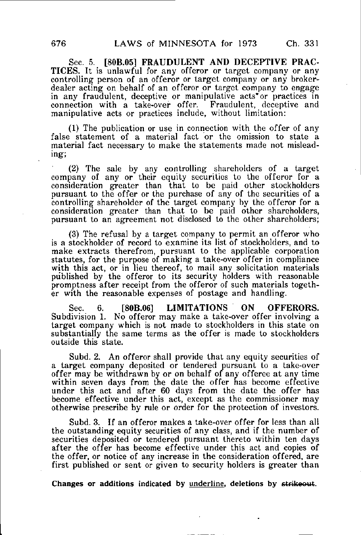Sec. 5. [80B.05] FRAUDULENT AND DECEPTIVE PRAC-TICES. It is unlawful for any offerer or target company or any controlling person of an offeror or target company or any brokerdealer acting on behalf of an offeror or target company to engage in any fraudulent, deceptive or manipulative acts or practices in connection with a take-over offer. Fraudulent, deceptive and manipulative acts or practices include, without limitation:

(1) The publication or use in connection with the offer of any false statement of a material fact or the omission to state a material fact necessary to make the statements made not misleading;

(2) The sale by any controlling shareholders of a target company of any or their equity securities to the offeror for a consideration greater than that to be paid other stockholders pursuant to the offer or the purchase of any of the securities of a controlling shareholder of the target company by the offeror for a consideration greater than that to be paid other shareholders, pursuant to an agreement not disclosed to the other shareholders;

(3) The refusal by a target company to permit an offeror who is a stockholder of record to examine its list of stockholders, and to make extracts therefrom, pursuant to the applicable corporation statutes, for the purpose of making a take-over offer in compliance with this act, or in lieu thereof, to mail any solicitation materials published by the offeror to its security holders with reasonable promptness after receipt from the offeror of such materials together with the reasonable expenses of postage and handling.

Sec. 6. [80B.06] LIMITATIONS ON OFFERORS. Subdivision 1. No offeror may make a take-over offer involving a target company which is not made to stockholders in this state on substantially the same terms as the offer is made to stockholders outside this state.

Subd. 2. An offeror shall provide that any equity securities of a target company deposited or tendered pursuant to a take-over offer may be withdrawn by or on behalf of any offeree at any time within seven days from the date the offer has become effective under this act and after 60 days from the date the offer has become effective under this act, except as the commissioner may otherwise prescribe by rule or order for the protection of investors.

Subd. 3. If an offeror makes a take-over offer for less than all the outstanding equity securities of any class, and if the number of securities deposited or tendered pursuant thereto within ten days after the offer has become effective under this act and copies of the offer, or notice of any increase in the consideration offered, are first published or sent or given to security holders is greater than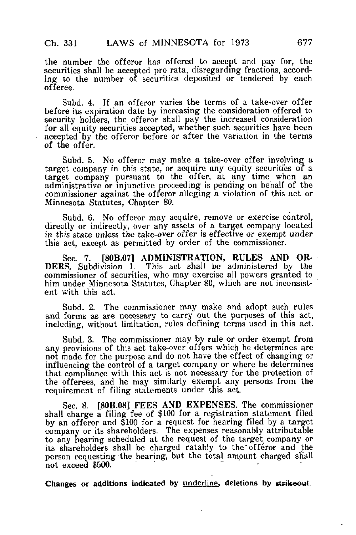the number the offerer has offered to accept and pay for, the securities shall be accepted pro rata, disregarding fractions, according to the number of securities deposited or tendered by each offeree.

Subd. 4. If an offeror varies the terms of a take-over offer before its expiration date by increasing the consideration offered to security holders, the offeror shall pay the increased consideration for all equity securities accepted, whether such securities have been accepted by the offeror before or after the variation in the terms of the offer.

Subd. 5. No offeror may make a take-over offer involving a target company in this state, or acquire any equity securities of a target company pursuant to the offer, at any time when an administrative or injunctive proceeding is pending on behalf of the commissioner against the offerer alleging a violation of this act or Minnesota Statutes, Chapter 80.

Subd. 6. No offeror may acquire, remove or exercise control, directly or indirectly, over any assets of a target company located in this state unless the take-over offer is effective or exempt under this act, except as permitted by order of the commissioner.

Sec. 7. [80B.07] ADMINISTRATION, RULES AND OR-DERS. Subdivision 1. This act shall be administered by the commissioner of securities, who may exercise all powers granted to him under Minnesota Statutes, Chapter 80, which are not inconsistent with this act.

Subd. 2. The commissioner may make and adopt such rules and forms as are necessary to carry out the purposes of this act, including, without limitation, rules defining terms used in this act.

Subd. 3. The commissioner may by rule or order exempt from any provisions of this act take-over offers which he determines are not made for the purpose and do not have the effect of changing or influencing the control of a target company or where he determines that compliance with this act is not necessary for the protection of the offerees, and he may similarly exempt any persons from the requirement of filing statements under this act.

Sec. 8. [80B.08] FEES AND EXPENSES. The commissioner shall charge a filing fee of \$100 for a registration statement filed by an offeror and \$100 for a request for hearing filed by a target company or its shareholders. The expenses reasonably attributable to any hearing scheduled at the request of the target company or its shareholders shall be charged ratably to the offeror and the person requesting the hearing, but the total amount charged shall not exceed \$500.

Changes or additions indicated by underline, deletions by strikeout.

ä,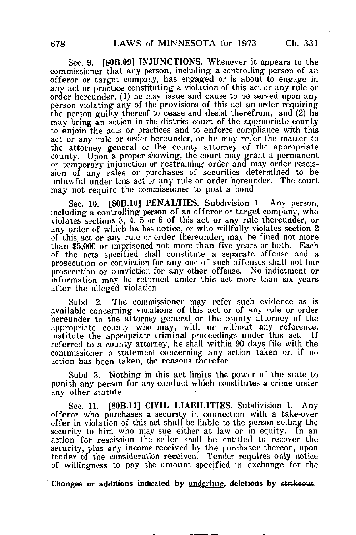Sec. 9. [80B.09] INJUNCTIONS. Whenever it appears to the commissioner that any person, including a controlling person of an offerer or target company, has engaged or is about to engage in any act or practice constituting a violation of this act or any rule or order hereunder, (1) he may issue and cause to be served upon any person violating any of the provisions of this act an order requiring the person guilty thereof to cease and desist therefrom; and (2) he may bring an action in the district court of the appropriate county to enjoin the acts or practices and to enforce compliance with this act or any rule or order hereunder, or he may refer the matter to the attorney general or the county attorney of the appropriate county. Upon a proper showing, the court may grant a permanent or temporary injunction or restraining order and may order rescission of any sales or purchases of securities determined to be unlawful under this act or any rule or order hereunder. The court may not require the commissioner to post a bond.

Sec. 10. [80**B.10] PENALTIES.** Subdivision 1. Any person, including a controlling person of an offerer or target company, who violates sections 3, 4, 5 or 6 of this act or any rule thereunder, or any order of which he has notice, or who willfully violates section 2 of this act or any rule or order thereunder, may be fined not more than \$5,000 or imprisoned not more than five years or both. Each of the acts specified shall constitute a separate offense and a prosecution or conviction for any one of such offenses shall not bar prosecution or conviction for any other offense. No indictment or information may be returned under this act more than six years after the alleged violation.

Subd. 2. The commissioner may refer such evidence as is available concerning violations of this act or of any rule or order hereunder to the attorney general or the county attorney of the appropriate county who may, with or without any reference, institute the appropriate criminal proceedings under this act. If referred to a county attorney, he shall within 90 days file with the commissioner a statement concerning any action taken or, if no action has been taken, the reasons therefor.

Subd. 3. Nothing in this act limits the power of the state to punish any person for any conduct which constitutes a crime under any other statute.

Sec. 11. [80B.11] CIVIL LIABILITIES. Subdivision 1. Any offeror who purchases a security in connection with a take-over offer in violation of this act shall be liable to the person selling the security to him who may sue either at law or in equity. In an action for rescission the seller shall be entitled to recover the security, plus any income received by the purchaser thereon, upon tender of the consideration received. Tender requires only notice of willingness to pay the amount specified in exchange for the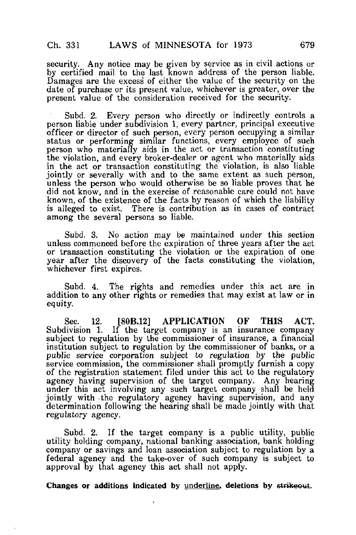security. Any notice may be given by service as in civil actions or by certified mail to the last Known address of the person liable. Damages are the excess of either the value of the security on the date of purchase or its present value, whichever is greater, over the present value of the consideration received for the security.

Subd. 2. Every person who directly or indirectly controls a person liable under subdivision 1, every partner, principal executive officer or director of such person, every person occupying a similar status or performing similar functions, every employee of such person who materially aids in the act or transaction constituting the violation, and every broker-dealer or agent who materially aids in the act or transaction constituting the violation, is also liable jointly or severally with and to the same extent as such person, unless the person who would otherwise be so liable proves that he did not know, and in the exercise of reasonable care could not have known, of the existence of the facts by reason of which the liability is alleged to exist. There is contribution as in cases of contract among the several persons so liable.

Subd. 3. No action may be maintained under this section unless commenced before the expiration of three years after the act or transaction constituting the violation or the expiration of one year after the discovery of the facts constituting the violation. whichever first expires.

Subd. 4. The rights and remedies under this act are in addition to any other rights or remedies that may exist at law or in equity.

Sec. 12. [80B.12] APPLICATION OF THIS ACT. Subdivision 1. If the target company is an insurance company subject to regulation by the commissioner of insurance, a financial institution subject to regulation by the commissioner of banks, or a public service corporation subject to regulation by the public service commission, the commissioner shall promptly furnish a copy of the registration statement filed under this act to the regulatory agency having supervision of the target company. Any hearing under this act involving any such target company shall be held jointly with -the regulatory agency having supervision, and any determination following the hearing shall be made jointly with that regulatory agency.

Subd. 2. If the target company is a public utility, public utility holding company, national banking association, bank holding company or savings and loan association subject to regulation by a federal agency and the take-over of such company is subject to approval by that agency this act shall not apply.